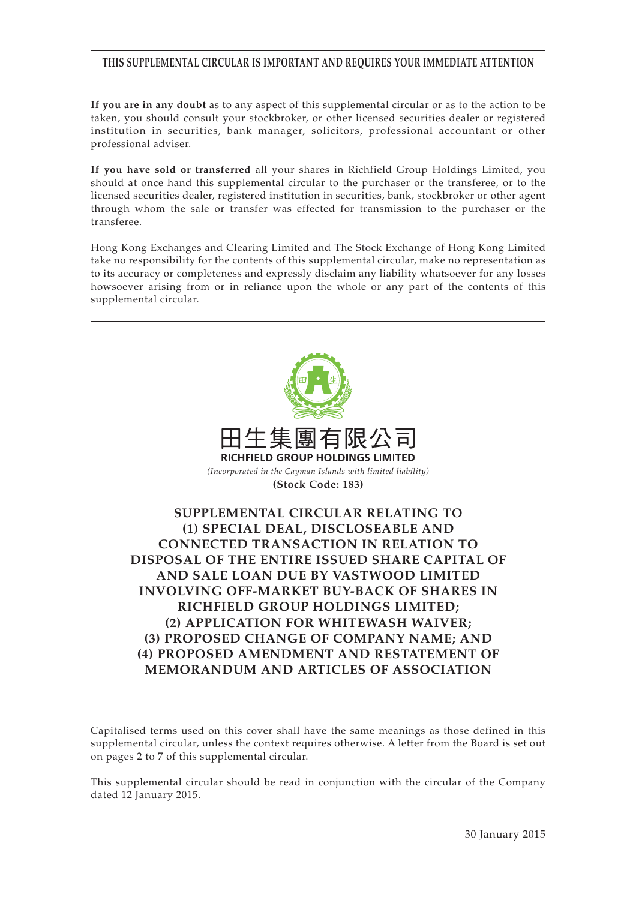# **THIS SUPPLEMENTAL CIRCULAR IS IMPORTANT AND REQUIRES YOUR IMMEDIATE ATTENTION**

**If you are in any doubt** as to any aspect of this supplemental circular or as to the action to be taken, you should consult your stockbroker, or other licensed securities dealer or registered institution in securities, bank manager, solicitors, professional accountant or other professional adviser.

**If you have sold or transferred** all your shares in Richfield Group Holdings Limited, you should at once hand this supplemental circular to the purchaser or the transferee, or to the licensed securities dealer, registered institution in securities, bank, stockbroker or other agent through whom the sale or transfer was effected for transmission to the purchaser or the transferee.

Hong Kong Exchanges and Clearing Limited and The Stock Exchange of Hong Kong Limited take no responsibility for the contents of this supplemental circular, make no representation as to its accuracy or completeness and expressly disclaim any liability whatsoever for any losses howsoever arising from or in reliance upon the whole or any part of the contents of this supplemental circular.



Capitalised terms used on this cover shall have the same meanings as those defined in this supplemental circular, unless the context requires otherwise. A letter from the Board is set out on pages 2 to 7 of this supplemental circular.

This supplemental circular should be read in conjunction with the circular of the Company dated 12 January 2015.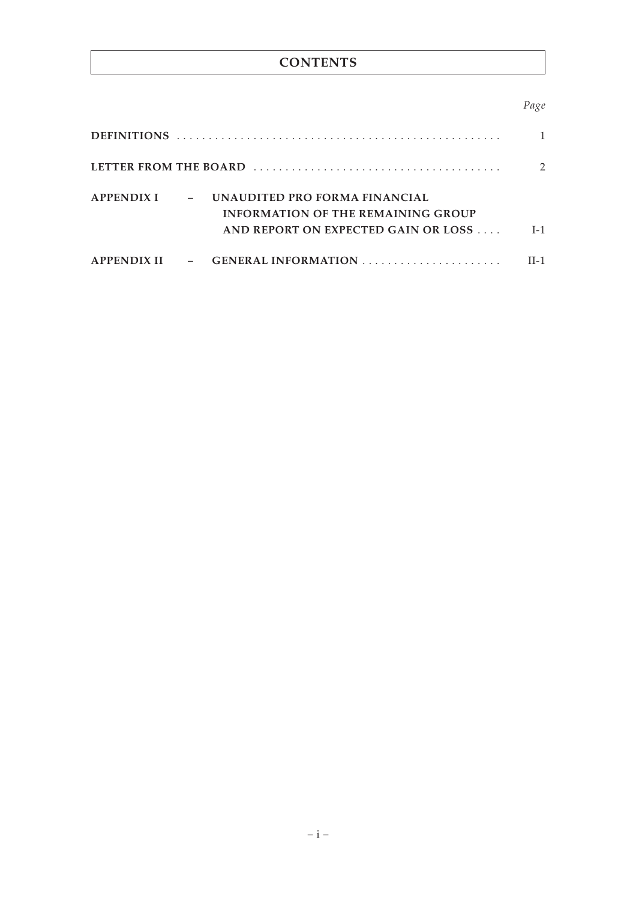# **CONTENTS**

# *Page*

|  | APPENDIX I – UNAUDITED PRO FORMA FINANCIAL<br><b>INFORMATION OF THE REMAINING GROUP</b><br>AND REPORT ON EXPECTED GAIN OR LOSS | $I-1$ |
|--|--------------------------------------------------------------------------------------------------------------------------------|-------|
|  |                                                                                                                                | II-1  |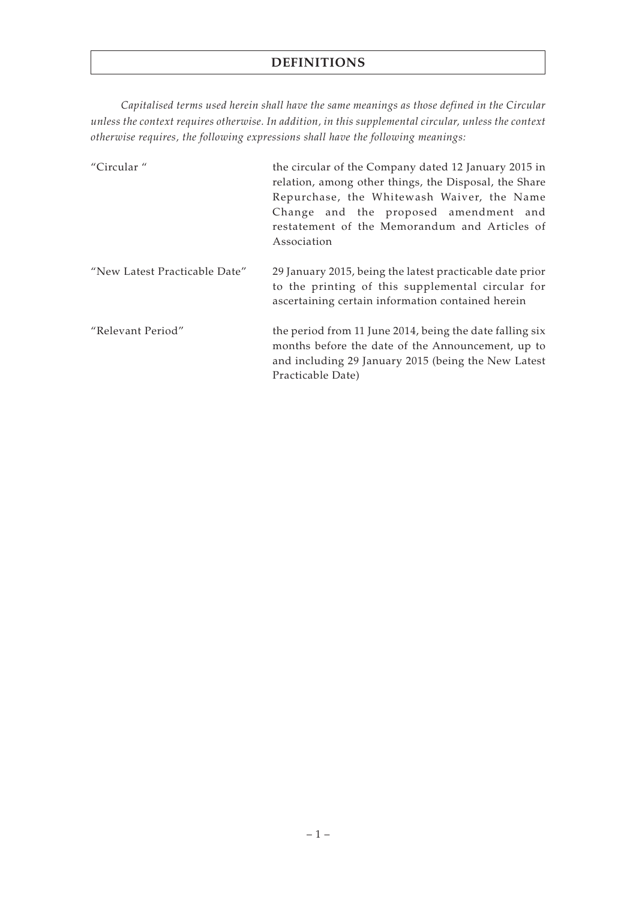# **DEFINITIONS**

*Capitalised terms used herein shall have the same meanings as those defined in the Circular unless the context requires otherwise. In addition, in this supplemental circular, unless the context otherwise requires, the following expressions shall have the following meanings:*

| "Circular"                    | the circular of the Company dated 12 January 2015 in<br>relation, among other things, the Disposal, the Share<br>Repurchase, the Whitewash Waiver, the Name<br>Change and the proposed amendment and<br>restatement of the Memorandum and Articles of<br>Association |
|-------------------------------|----------------------------------------------------------------------------------------------------------------------------------------------------------------------------------------------------------------------------------------------------------------------|
| "New Latest Practicable Date" | 29 January 2015, being the latest practicable date prior<br>to the printing of this supplemental circular for<br>ascertaining certain information contained herein                                                                                                   |
| "Relevant Period"             | the period from 11 June 2014, being the date falling six<br>months before the date of the Announcement, up to<br>and including 29 January 2015 (being the New Latest<br>Practicable Date)                                                                            |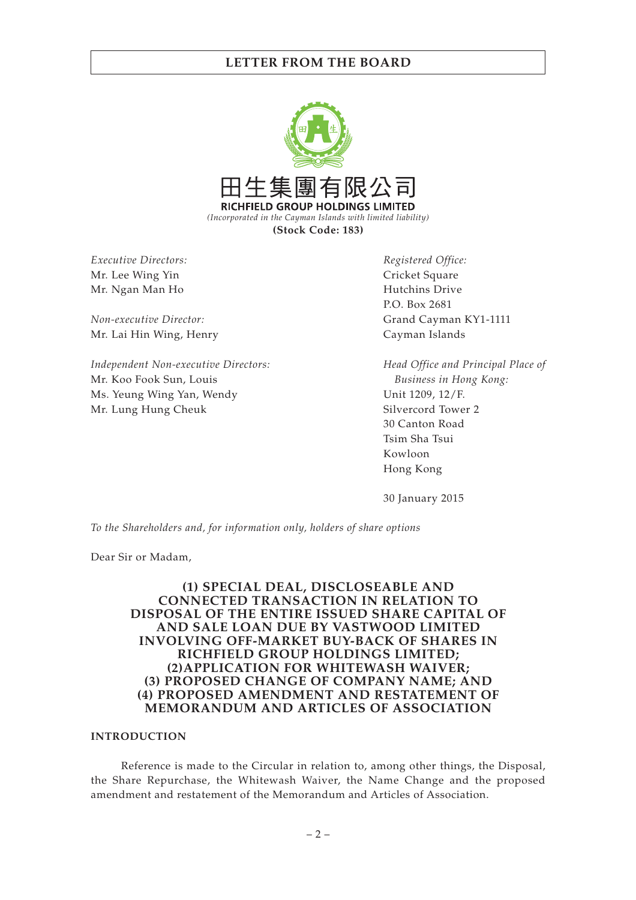

*Executive Directors:* Mr. Lee Wing Yin Mr. Ngan Man Ho

*Non-executive Director:* Mr. Lai Hin Wing, Henry

*Independent Non-executive Directors:* Mr. Koo Fook Sun, Louis Ms. Yeung Wing Yan, Wendy Mr. Lung Hung Cheuk

*Registered Office:* Cricket Square Hutchins Drive P.O. Box 2681 Grand Cayman KY1-1111 Cayman Islands

*Head Office and Principal Place of Business in Hong Kong:* Unit 1209, 12/F. Silvercord Tower 2 30 Canton Road Tsim Sha Tsui Kowloon Hong Kong

30 January 2015

*To the Shareholders and, for information only, holders of share options*

Dear Sir or Madam,

## **(1) SPECIAL DEAL, DISCLOSEABLE AND CONNECTED TRANSACTION IN RELATION TO DISPOSAL OF THE ENTIRE ISSUED SHARE CAPITAL OF AND SALE LOAN DUE BY VASTWOOD LIMITED INVOLVING OFF-MARKET BUY-BACK OF SHARES IN RICHFIELD GROUP HOLDINGS LIMITED; (2)APPLICATION FOR WHITEWASH WAIVER; (3) PROPOSED CHANGE OF COMPANY NAME; AND (4) PROPOSED AMENDMENT AND RESTATEMENT OF MEMORANDUM AND ARTICLES OF ASSOCIATION**

### **INTRODUCTION**

Reference is made to the Circular in relation to, among other things, the Disposal, the Share Repurchase, the Whitewash Waiver, the Name Change and the proposed amendment and restatement of the Memorandum and Articles of Association.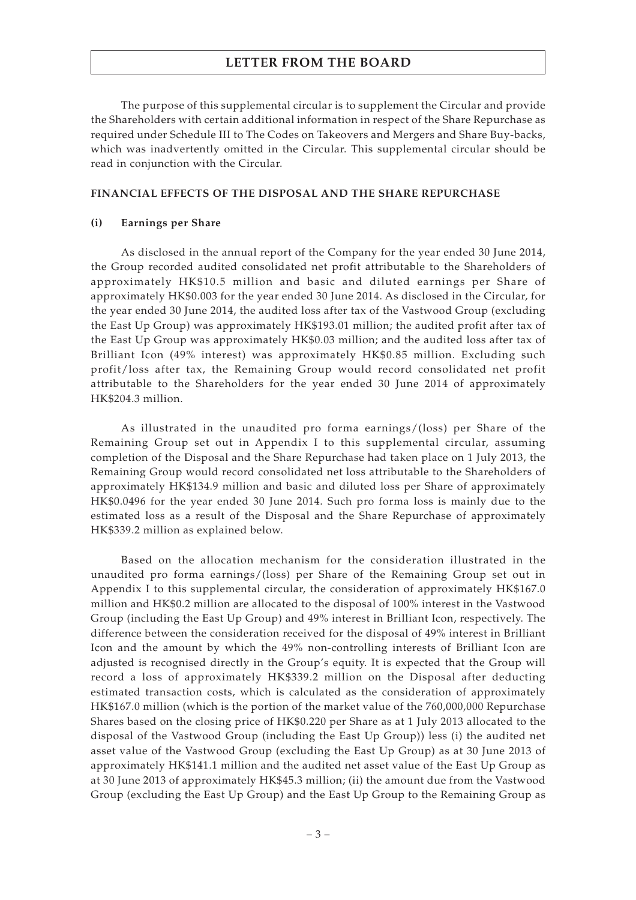The purpose of this supplemental circular is to supplement the Circular and provide the Shareholders with certain additional information in respect of the Share Repurchase as required under Schedule III to The Codes on Takeovers and Mergers and Share Buy-backs, which was inadvertently omitted in the Circular. This supplemental circular should be read in conjunction with the Circular.

#### **FINANCIAL EFFECTS OF THE DISPOSAL AND THE SHARE REPURCHASE**

#### **(i) Earnings per Share**

As disclosed in the annual report of the Company for the year ended 30 June 2014, the Group recorded audited consolidated net profit attributable to the Shareholders of approximately HK\$10.5 million and basic and diluted earnings per Share of approximately HK\$0.003 for the year ended 30 June 2014. As disclosed in the Circular, for the year ended 30 June 2014, the audited loss after tax of the Vastwood Group (excluding the East Up Group) was approximately HK\$193.01 million; the audited profit after tax of the East Up Group was approximately HK\$0.03 million; and the audited loss after tax of Brilliant Icon (49% interest) was approximately HK\$0.85 million. Excluding such profit/loss after tax, the Remaining Group would record consolidated net profit attributable to the Shareholders for the year ended 30 June 2014 of approximately HK\$204.3 million.

As illustrated in the unaudited pro forma earnings/(loss) per Share of the Remaining Group set out in Appendix I to this supplemental circular, assuming completion of the Disposal and the Share Repurchase had taken place on 1 July 2013, the Remaining Group would record consolidated net loss attributable to the Shareholders of approximately HK\$134.9 million and basic and diluted loss per Share of approximately HK\$0.0496 for the year ended 30 June 2014. Such pro forma loss is mainly due to the estimated loss as a result of the Disposal and the Share Repurchase of approximately HK\$339.2 million as explained below.

Based on the allocation mechanism for the consideration illustrated in the unaudited pro forma earnings/(loss) per Share of the Remaining Group set out in Appendix I to this supplemental circular, the consideration of approximately HK\$167.0 million and HK\$0.2 million are allocated to the disposal of 100% interest in the Vastwood Group (including the East Up Group) and 49% interest in Brilliant Icon, respectively. The difference between the consideration received for the disposal of 49% interest in Brilliant Icon and the amount by which the 49% non-controlling interests of Brilliant Icon are adjusted is recognised directly in the Group's equity. It is expected that the Group will record a loss of approximately HK\$339.2 million on the Disposal after deducting estimated transaction costs, which is calculated as the consideration of approximately HK\$167.0 million (which is the portion of the market value of the 760,000,000 Repurchase Shares based on the closing price of HK\$0.220 per Share as at 1 July 2013 allocated to the disposal of the Vastwood Group (including the East Up Group)) less (i) the audited net asset value of the Vastwood Group (excluding the East Up Group) as at 30 June 2013 of approximately HK\$141.1 million and the audited net asset value of the East Up Group as at 30 June 2013 of approximately HK\$45.3 million; (ii) the amount due from the Vastwood Group (excluding the East Up Group) and the East Up Group to the Remaining Group as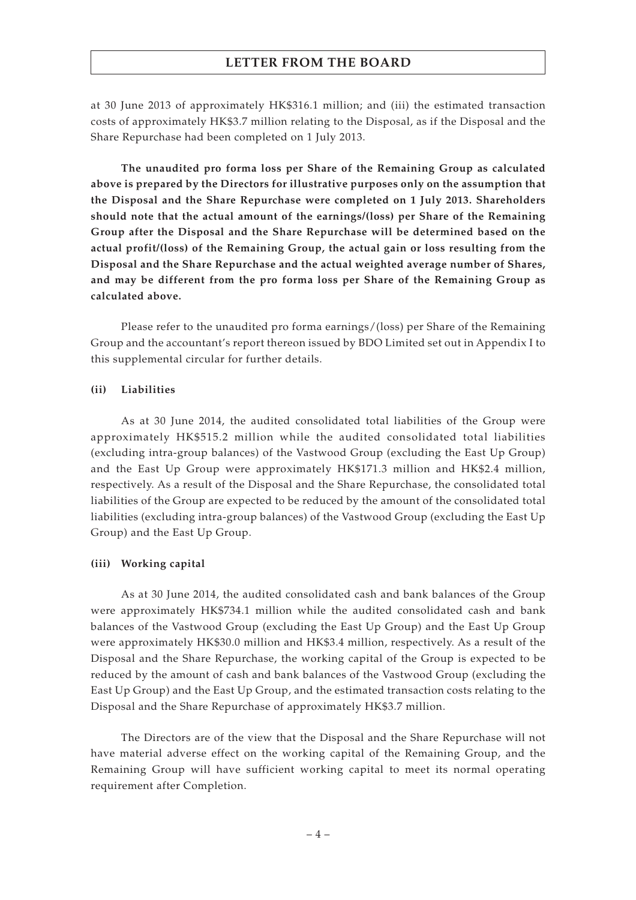at 30 June 2013 of approximately HK\$316.1 million; and (iii) the estimated transaction costs of approximately HK\$3.7 million relating to the Disposal, as if the Disposal and the Share Repurchase had been completed on 1 July 2013.

**The unaudited pro forma loss per Share of the Remaining Group as calculated above is prepared by the Directors for illustrative purposes only on the assumption that the Disposal and the Share Repurchase were completed on 1 July 2013. Shareholders should note that the actual amount of the earnings/(loss) per Share of the Remaining Group after the Disposal and the Share Repurchase will be determined based on the actual profit/(loss) of the Remaining Group, the actual gain or loss resulting from the Disposal and the Share Repurchase and the actual weighted average number of Shares, and may be different from the pro forma loss per Share of the Remaining Group as calculated above.**

Please refer to the unaudited pro forma earnings/(loss) per Share of the Remaining Group and the accountant's report thereon issued by BDO Limited set out in Appendix I to this supplemental circular for further details.

#### **(ii) Liabilities**

As at 30 June 2014, the audited consolidated total liabilities of the Group were approximately HK\$515.2 million while the audited consolidated total liabilities (excluding intra-group balances) of the Vastwood Group (excluding the East Up Group) and the East Up Group were approximately HK\$171.3 million and HK\$2.4 million, respectively. As a result of the Disposal and the Share Repurchase, the consolidated total liabilities of the Group are expected to be reduced by the amount of the consolidated total liabilities (excluding intra-group balances) of the Vastwood Group (excluding the East Up Group) and the East Up Group.

#### **(iii) Working capital**

As at 30 June 2014, the audited consolidated cash and bank balances of the Group were approximately HK\$734.1 million while the audited consolidated cash and bank balances of the Vastwood Group (excluding the East Up Group) and the East Up Group were approximately HK\$30.0 million and HK\$3.4 million, respectively. As a result of the Disposal and the Share Repurchase, the working capital of the Group is expected to be reduced by the amount of cash and bank balances of the Vastwood Group (excluding the East Up Group) and the East Up Group, and the estimated transaction costs relating to the Disposal and the Share Repurchase of approximately HK\$3.7 million.

The Directors are of the view that the Disposal and the Share Repurchase will not have material adverse effect on the working capital of the Remaining Group, and the Remaining Group will have sufficient working capital to meet its normal operating requirement after Completion.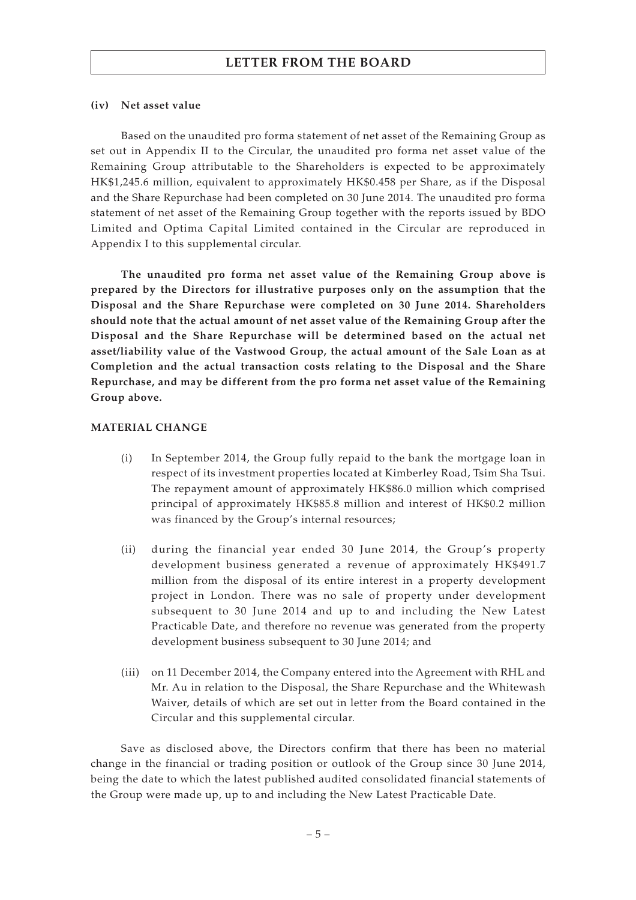#### **(iv) Net asset value**

Based on the unaudited pro forma statement of net asset of the Remaining Group as set out in Appendix II to the Circular, the unaudited pro forma net asset value of the Remaining Group attributable to the Shareholders is expected to be approximately HK\$1,245.6 million, equivalent to approximately HK\$0.458 per Share, as if the Disposal and the Share Repurchase had been completed on 30 June 2014. The unaudited pro forma statement of net asset of the Remaining Group together with the reports issued by BDO Limited and Optima Capital Limited contained in the Circular are reproduced in Appendix I to this supplemental circular.

**The unaudited pro forma net asset value of the Remaining Group above is prepared by the Directors for illustrative purposes only on the assumption that the Disposal and the Share Repurchase were completed on 30 June 2014. Shareholders should note that the actual amount of net asset value of the Remaining Group after the Disposal and the Share Repurchase will be determined based on the actual net asset/liability value of the Vastwood Group, the actual amount of the Sale Loan as at Completion and the actual transaction costs relating to the Disposal and the Share Repurchase, and may be different from the pro forma net asset value of the Remaining Group above.**

### **MATERIAL CHANGE**

- (i) In September 2014, the Group fully repaid to the bank the mortgage loan in respect of its investment properties located at Kimberley Road, Tsim Sha Tsui. The repayment amount of approximately HK\$86.0 million which comprised principal of approximately HK\$85.8 million and interest of HK\$0.2 million was financed by the Group's internal resources;
- (ii) during the financial year ended 30 June 2014, the Group's property development business generated a revenue of approximately HK\$491.7 million from the disposal of its entire interest in a property development project in London. There was no sale of property under development subsequent to 30 June 2014 and up to and including the New Latest Practicable Date, and therefore no revenue was generated from the property development business subsequent to 30 June 2014; and
- (iii) on 11 December 2014, the Company entered into the Agreement with RHL and Mr. Au in relation to the Disposal, the Share Repurchase and the Whitewash Waiver, details of which are set out in letter from the Board contained in the Circular and this supplemental circular.

Save as disclosed above, the Directors confirm that there has been no material change in the financial or trading position or outlook of the Group since 30 June 2014, being the date to which the latest published audited consolidated financial statements of the Group were made up, up to and including the New Latest Practicable Date.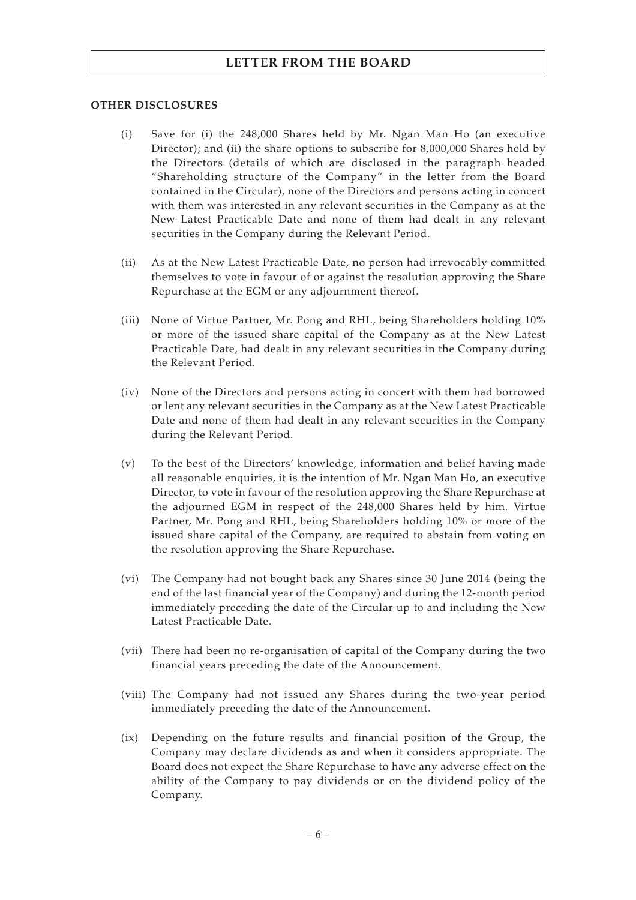## **OTHER DISCLOSURES**

- (i) Save for (i) the 248,000 Shares held by Mr. Ngan Man Ho (an executive Director); and (ii) the share options to subscribe for 8,000,000 Shares held by the Directors (details of which are disclosed in the paragraph headed "Shareholding structure of the Company" in the letter from the Board contained in the Circular), none of the Directors and persons acting in concert with them was interested in any relevant securities in the Company as at the New Latest Practicable Date and none of them had dealt in any relevant securities in the Company during the Relevant Period.
- (ii) As at the New Latest Practicable Date, no person had irrevocably committed themselves to vote in favour of or against the resolution approving the Share Repurchase at the EGM or any adjournment thereof.
- (iii) None of Virtue Partner, Mr. Pong and RHL, being Shareholders holding 10% or more of the issued share capital of the Company as at the New Latest Practicable Date, had dealt in any relevant securities in the Company during the Relevant Period.
- (iv) None of the Directors and persons acting in concert with them had borrowed or lent any relevant securities in the Company as at the New Latest Practicable Date and none of them had dealt in any relevant securities in the Company during the Relevant Period.
- (v) To the best of the Directors' knowledge, information and belief having made all reasonable enquiries, it is the intention of Mr. Ngan Man Ho, an executive Director, to vote in favour of the resolution approving the Share Repurchase at the adjourned EGM in respect of the 248,000 Shares held by him. Virtue Partner, Mr. Pong and RHL, being Shareholders holding 10% or more of the issued share capital of the Company, are required to abstain from voting on the resolution approving the Share Repurchase.
- (vi) The Company had not bought back any Shares since 30 June 2014 (being the end of the last financial year of the Company) and during the 12-month period immediately preceding the date of the Circular up to and including the New Latest Practicable Date.
- (vii) There had been no re-organisation of capital of the Company during the two financial years preceding the date of the Announcement.
- (viii) The Company had not issued any Shares during the two-year period immediately preceding the date of the Announcement.
- (ix) Depending on the future results and financial position of the Group, the Company may declare dividends as and when it considers appropriate. The Board does not expect the Share Repurchase to have any adverse effect on the ability of the Company to pay dividends or on the dividend policy of the Company.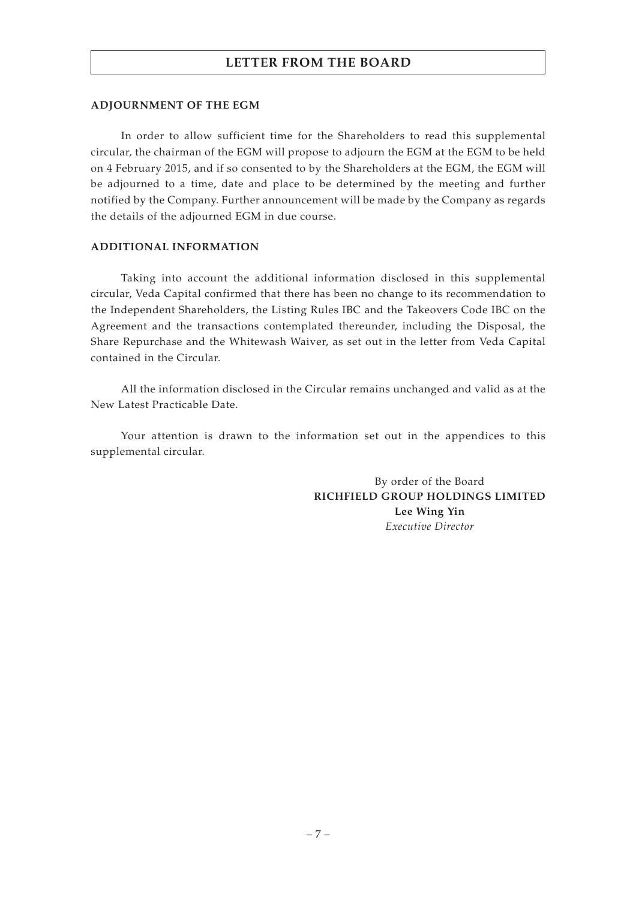#### **ADJOURNMENT OF THE EGM**

In order to allow sufficient time for the Shareholders to read this supplemental circular, the chairman of the EGM will propose to adjourn the EGM at the EGM to be held on 4 February 2015, and if so consented to by the Shareholders at the EGM, the EGM will be adjourned to a time, date and place to be determined by the meeting and further notified by the Company. Further announcement will be made by the Company as regards the details of the adjourned EGM in due course.

#### **ADDITIONAL INFORMATION**

Taking into account the additional information disclosed in this supplemental circular, Veda Capital confirmed that there has been no change to its recommendation to the Independent Shareholders, the Listing Rules IBC and the Takeovers Code IBC on the Agreement and the transactions contemplated thereunder, including the Disposal, the Share Repurchase and the Whitewash Waiver, as set out in the letter from Veda Capital contained in the Circular.

All the information disclosed in the Circular remains unchanged and valid as at the New Latest Practicable Date.

Your attention is drawn to the information set out in the appendices to this supplemental circular.

> By order of the Board **RICHFIELD GROUP HOLDINGS LIMITED Lee Wing Yin** *Executive Director*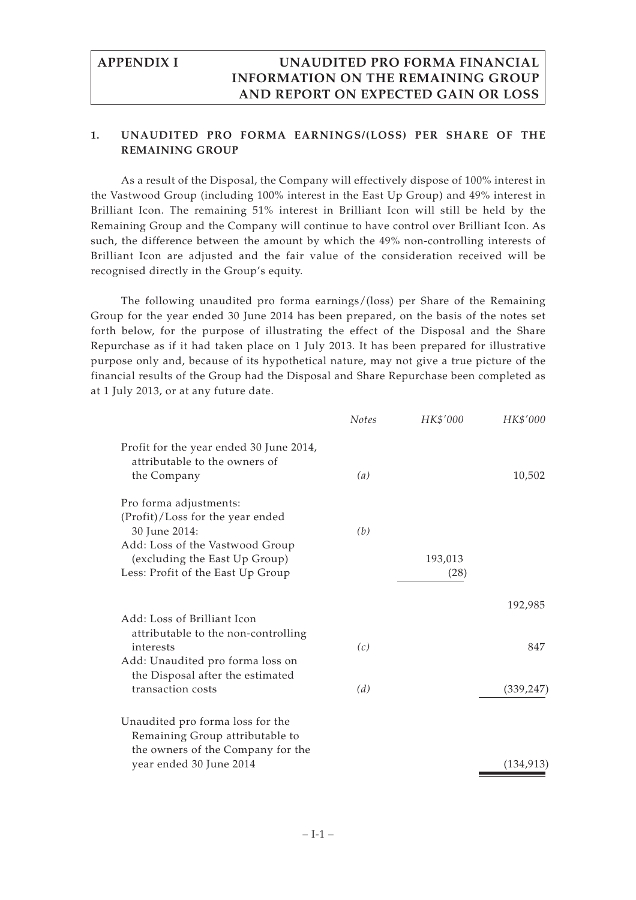## **1. UNAUDITED PRO FORMA EARNINGS/(LOSS) PER SHARE OF THE REMAINING GROUP**

As a result of the Disposal, the Company will effectively dispose of 100% interest in the Vastwood Group (including 100% interest in the East Up Group) and 49% interest in Brilliant Icon. The remaining 51% interest in Brilliant Icon will still be held by the Remaining Group and the Company will continue to have control over Brilliant Icon. As such, the difference between the amount by which the 49% non-controlling interests of Brilliant Icon are adjusted and the fair value of the consideration received will be recognised directly in the Group's equity.

The following unaudited pro forma earnings/(loss) per Share of the Remaining Group for the year ended 30 June 2014 has been prepared, on the basis of the notes set forth below, for the purpose of illustrating the effect of the Disposal and the Share Repurchase as if it had taken place on 1 July 2013. It has been prepared for illustrative purpose only and, because of its hypothetical nature, may not give a true picture of the financial results of the Group had the Disposal and Share Repurchase been completed as at 1 July 2013, or at any future date.

|                                                                                                          | <b>Notes</b> | HK\$'000 | HK\$'000   |
|----------------------------------------------------------------------------------------------------------|--------------|----------|------------|
| Profit for the year ended 30 June 2014,<br>attributable to the owners of<br>the Company                  | (a)          |          | 10,502     |
| Pro forma adjustments:                                                                                   |              |          |            |
| (Profit)/Loss for the year ended<br>30 June 2014:<br>Add: Loss of the Vastwood Group                     | (b)          |          |            |
| (excluding the East Up Group)                                                                            |              | 193,013  |            |
| Less: Profit of the East Up Group                                                                        |              | (28)     |            |
|                                                                                                          |              |          | 192,985    |
| Add: Loss of Brilliant Icon                                                                              |              |          |            |
| attributable to the non-controlling<br>interests                                                         | (c)          |          | 847        |
| Add: Unaudited pro forma loss on<br>the Disposal after the estimated                                     |              |          |            |
| transaction costs                                                                                        | (d)          |          | (339, 247) |
| Unaudited pro forma loss for the<br>Remaining Group attributable to<br>the owners of the Company for the |              |          |            |
| year ended 30 June 2014                                                                                  |              |          | (134, 913) |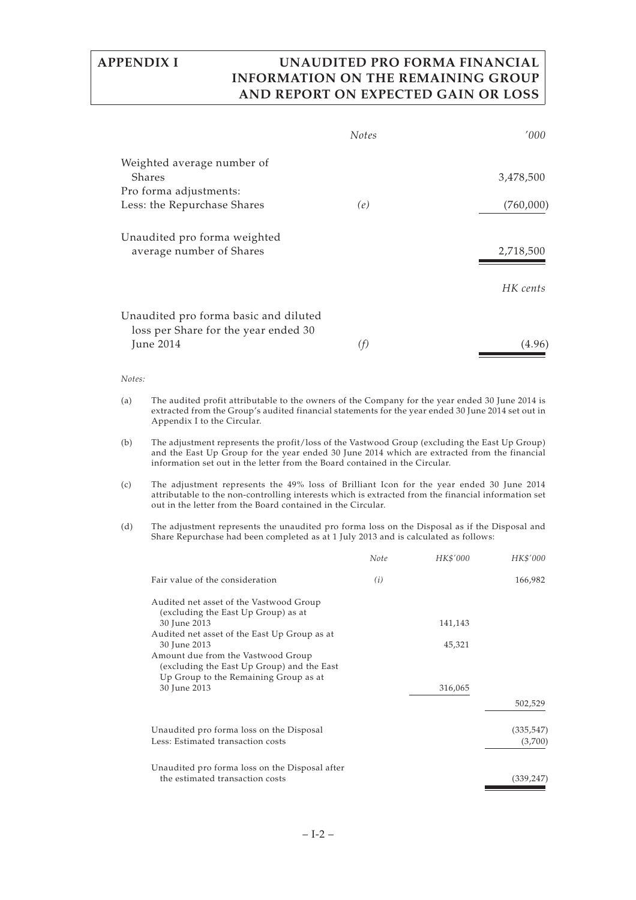|                                                                               | <b>Notes</b> | '000      |
|-------------------------------------------------------------------------------|--------------|-----------|
| Weighted average number of                                                    |              |           |
| Shares                                                                        |              | 3,478,500 |
| Pro forma adjustments:                                                        |              |           |
| Less: the Repurchase Shares                                                   | (e)          | (760,000) |
| Unaudited pro forma weighted                                                  |              |           |
| average number of Shares                                                      |              | 2,718,500 |
|                                                                               |              |           |
|                                                                               |              | HK cents  |
| Unaudited pro forma basic and diluted<br>loss per Share for the year ended 30 |              |           |
| June 2014                                                                     | (f)          | (4.96)    |

#### *Notes:*

(a) The audited profit attributable to the owners of the Company for the year ended 30 June 2014 is extracted from the Group's audited financial statements for the year ended 30 June 2014 set out in Appendix I to the Circular.

(b) The adjustment represents the profit/loss of the Vastwood Group (excluding the East Up Group) and the East Up Group for the year ended 30 June 2014 which are extracted from the financial information set out in the letter from the Board contained in the Circular.

(c) The adjustment represents the 49% loss of Brilliant Icon for the year ended 30 June 2014 attributable to the non-controlling interests which is extracted from the financial information set out in the letter from the Board contained in the Circular.

(d) The adjustment represents the unaudited pro forma loss on the Disposal as if the Disposal and Share Repurchase had been completed as at 1 July 2013 and is calculated as follows:

|                                                                                                     | Note | HK\$'000 | HK\$'000              |
|-----------------------------------------------------------------------------------------------------|------|----------|-----------------------|
| Fair value of the consideration                                                                     | (i)  |          | 166,982               |
| Audited net asset of the Vastwood Group<br>(excluding the East Up Group) as at                      |      |          |                       |
| 30 June 2013                                                                                        |      | 141,143  |                       |
| Audited net asset of the East Up Group as at<br>30 June 2013<br>Amount due from the Vastwood Group  |      | 45,321   |                       |
| (excluding the East Up Group) and the East<br>Up Group to the Remaining Group as at<br>30 June 2013 |      | 316,065  |                       |
|                                                                                                     |      |          | 502,529               |
| Unaudited pro forma loss on the Disposal<br>Less: Estimated transaction costs                       |      |          | (335, 547)<br>(3,700) |
| Unaudited pro forma loss on the Disposal after<br>the estimated transaction costs                   |      |          | (339, 247)            |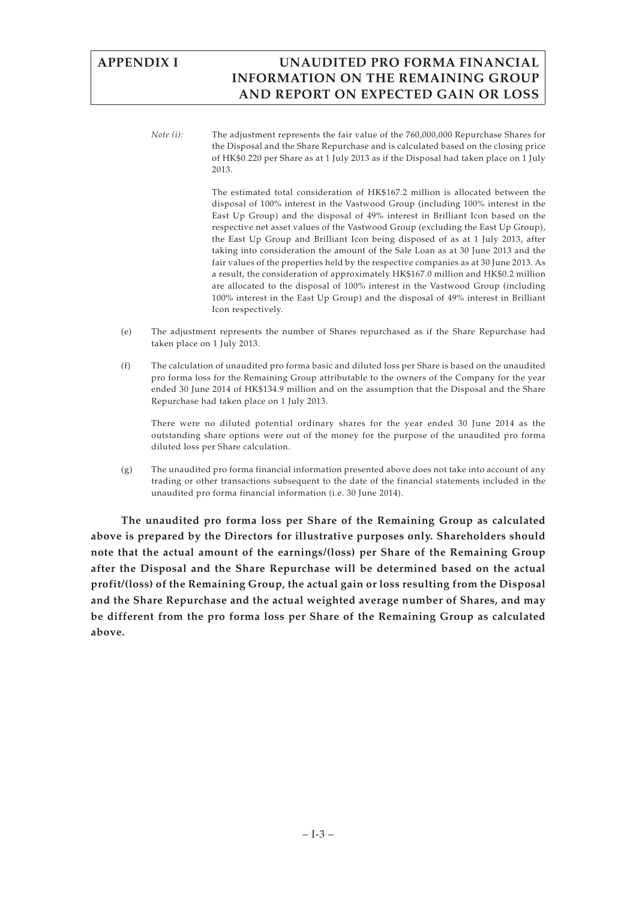*Note (i):* The adjustment represents the fair value of the 760,000,000 Repurchase Shares for the Disposal and the Share Repurchase and is calculated based on the closing price of HK\$0.220 per Share as at 1 July 2013 as if the Disposal had taken place on 1 July 2013.

> The estimated total consideration of HK\$167.2 million is allocated between the disposal of 100% interest in the Vastwood Group (including 100% interest in the East Up Group) and the disposal of 49% interest in Brilliant Icon based on the respective net asset values of the Vastwood Group (excluding the East Up Group), the East Up Group and Brilliant Icon being disposed of as at 1 July 2013, after taking into consideration the amount of the Sale Loan as at 30 June 2013 and the fair values of the properties held by the respective companies as at 30 June 2013. As a result, the consideration of approximately HK\$167.0 million and HK\$0.2 million are allocated to the disposal of 100% interest in the Vastwood Group (including 100% interest in the East Up Group) and the disposal of 49% interest in Brilliant Icon respectively.

- (e) The adjustment represents the number of Shares repurchased as if the Share Repurchase had taken place on 1 July 2013.
- (f) The calculation of unaudited pro forma basic and diluted loss per Share is based on the unaudited pro forma loss for the Remaining Group attributable to the owners of the Company for the year ended 30 June 2014 of HK\$134.9 million and on the assumption that the Disposal and the Share Repurchase had taken place on 1 July 2013.

There were no diluted potential ordinary shares for the year ended 30 June 2014 as the outstanding share options were out of the money for the purpose of the unaudited pro forma diluted loss per Share calculation.

(g) The unaudited pro forma financial information presented above does not take into account of any trading or other transactions subsequent to the date of the financial statements included in the unaudited pro forma financial information (i.e. 30 June 2014).

**The unaudited pro forma loss per Share of the Remaining Group as calculated above is prepared by the Directors for illustrative purposes only. Shareholders should note that the actual amount of the earnings/(loss) per Share of the Remaining Group after the Disposal and the Share Repurchase will be determined based on the actual profit/(loss) of the Remaining Group, the actual gain or loss resulting from the Disposal and the Share Repurchase and the actual weighted average number of Shares, and may be different from the pro forma loss per Share of the Remaining Group as calculated above.**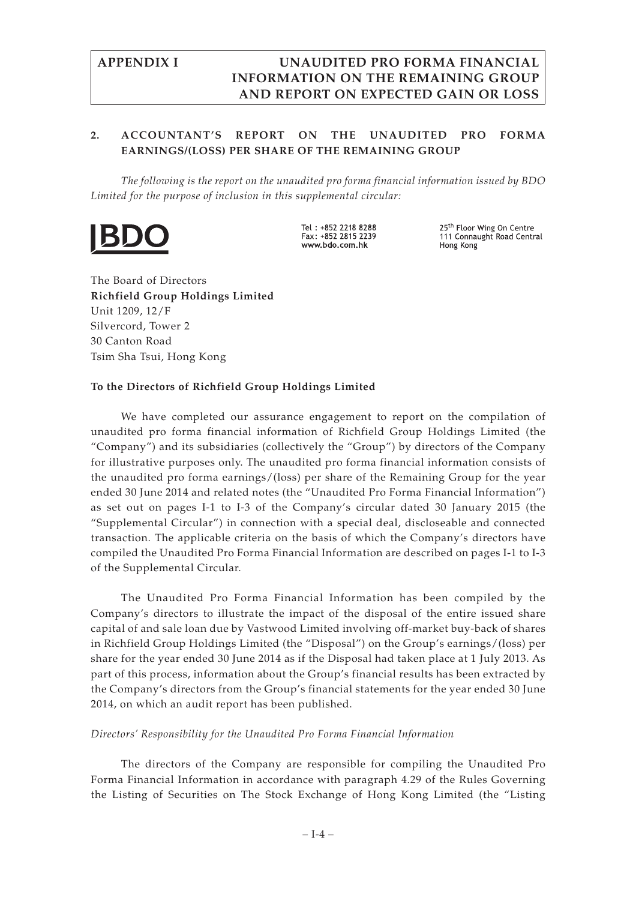# **2. ACCOUNTANT'S REPORT ON THE UNAUDITED PRO FORMA EARNINGS/(LOSS) PER SHARE OF THE REMAINING GROUP**

*The following is the report on the unaudited pro forma financial information issued by BDO Limited for the purpose of inclusion in this supplemental circular:*



Tel: +852 2218 8288  $Fax + 852$  2815 2239 www.bdo.com.hk

25<sup>th</sup> Floor Wing On Centre<br>111 Connaught Road Central Hong Kong

The Board of Directors **Richfield Group Holdings Limited** Unit 1209, 12/F Silvercord, Tower 2 30 Canton Road Tsim Sha Tsui, Hong Kong

## **To the Directors of Richfield Group Holdings Limited**

We have completed our assurance engagement to report on the compilation of unaudited pro forma financial information of Richfield Group Holdings Limited (the "Company") and its subsidiaries (collectively the "Group") by directors of the Company for illustrative purposes only. The unaudited pro forma financial information consists of the unaudited pro forma earnings/(loss) per share of the Remaining Group for the year ended 30 June 2014 and related notes (the "Unaudited Pro Forma Financial Information") as set out on pages I-1 to I-3 of the Company's circular dated 30 January 2015 (the "Supplemental Circular") in connection with a special deal, discloseable and connected transaction. The applicable criteria on the basis of which the Company's directors have compiled the Unaudited Pro Forma Financial Information are described on pages I-1 to I-3 of the Supplemental Circular.

The Unaudited Pro Forma Financial Information has been compiled by the Company's directors to illustrate the impact of the disposal of the entire issued share capital of and sale loan due by Vastwood Limited involving off-market buy-back of shares in Richfield Group Holdings Limited (the "Disposal") on the Group's earnings/(loss) per share for the year ended 30 June 2014 as if the Disposal had taken place at 1 July 2013. As part of this process, information about the Group's financial results has been extracted by the Company's directors from the Group's financial statements for the year ended 30 June 2014, on which an audit report has been published.

## *Directors' Responsibility for the Unaudited Pro Forma Financial Information*

The directors of the Company are responsible for compiling the Unaudited Pro Forma Financial Information in accordance with paragraph 4.29 of the Rules Governing the Listing of Securities on The Stock Exchange of Hong Kong Limited (the "Listing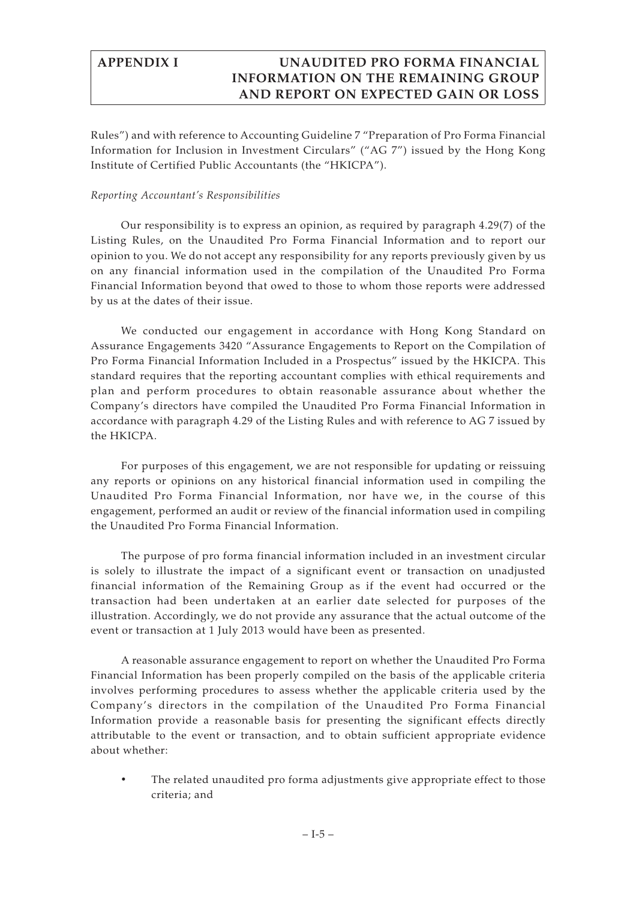Rules") and with reference to Accounting Guideline 7 "Preparation of Pro Forma Financial Information for Inclusion in Investment Circulars" ("AG 7") issued by the Hong Kong Institute of Certified Public Accountants (the "HKICPA").

## *Reporting Accountant's Responsibilities*

Our responsibility is to express an opinion, as required by paragraph 4.29(7) of the Listing Rules, on the Unaudited Pro Forma Financial Information and to report our opinion to you. We do not accept any responsibility for any reports previously given by us on any financial information used in the compilation of the Unaudited Pro Forma Financial Information beyond that owed to those to whom those reports were addressed by us at the dates of their issue.

We conducted our engagement in accordance with Hong Kong Standard on Assurance Engagements 3420 "Assurance Engagements to Report on the Compilation of Pro Forma Financial Information Included in a Prospectus" issued by the HKICPA. This standard requires that the reporting accountant complies with ethical requirements and plan and perform procedures to obtain reasonable assurance about whether the Company's directors have compiled the Unaudited Pro Forma Financial Information in accordance with paragraph 4.29 of the Listing Rules and with reference to AG 7 issued by the HKICPA.

For purposes of this engagement, we are not responsible for updating or reissuing any reports or opinions on any historical financial information used in compiling the Unaudited Pro Forma Financial Information, nor have we, in the course of this engagement, performed an audit or review of the financial information used in compiling the Unaudited Pro Forma Financial Information.

The purpose of pro forma financial information included in an investment circular is solely to illustrate the impact of a significant event or transaction on unadjusted financial information of the Remaining Group as if the event had occurred or the transaction had been undertaken at an earlier date selected for purposes of the illustration. Accordingly, we do not provide any assurance that the actual outcome of the event or transaction at 1 July 2013 would have been as presented.

A reasonable assurance engagement to report on whether the Unaudited Pro Forma Financial Information has been properly compiled on the basis of the applicable criteria involves performing procedures to assess whether the applicable criteria used by the Company's directors in the compilation of the Unaudited Pro Forma Financial Information provide a reasonable basis for presenting the significant effects directly attributable to the event or transaction, and to obtain sufficient appropriate evidence about whether:

• The related unaudited pro forma adjustments give appropriate effect to those criteria; and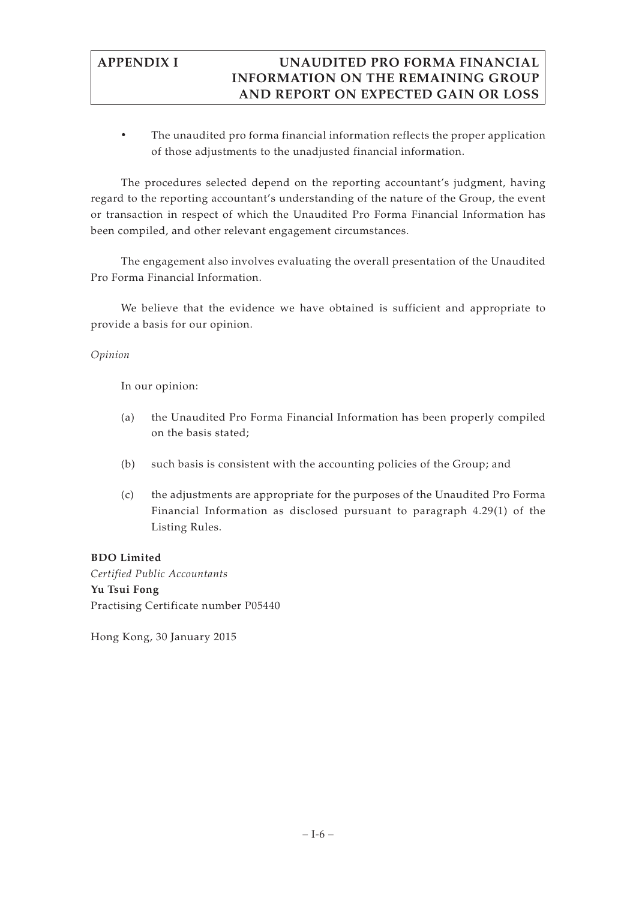• The unaudited pro forma financial information reflects the proper application of those adjustments to the unadjusted financial information.

The procedures selected depend on the reporting accountant's judgment, having regard to the reporting accountant's understanding of the nature of the Group, the event or transaction in respect of which the Unaudited Pro Forma Financial Information has been compiled, and other relevant engagement circumstances.

The engagement also involves evaluating the overall presentation of the Unaudited Pro Forma Financial Information.

We believe that the evidence we have obtained is sufficient and appropriate to provide a basis for our opinion.

## *Opinion*

In our opinion:

- (a) the Unaudited Pro Forma Financial Information has been properly compiled on the basis stated;
- (b) such basis is consistent with the accounting policies of the Group; and
- (c) the adjustments are appropriate for the purposes of the Unaudited Pro Forma Financial Information as disclosed pursuant to paragraph 4.29(1) of the Listing Rules.

## **BDO Limited**

*Certified Public Accountants* **Yu Tsui Fong** Practising Certificate number P05440

Hong Kong, 30 January 2015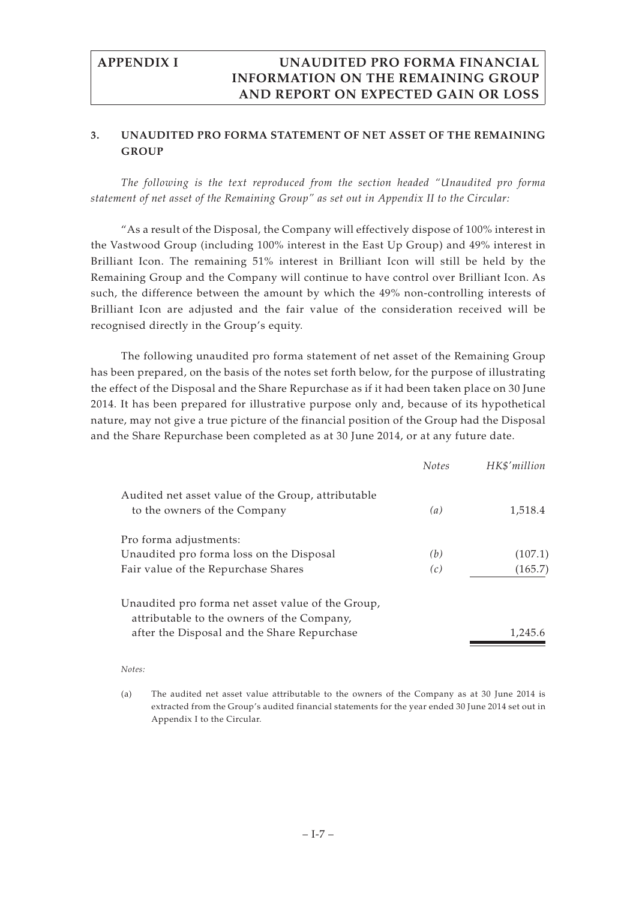## **3. UNAUDITED PRO FORMA STATEMENT OF NET ASSET OF THE REMAINING GROUP**

*The following is the text reproduced from the section headed "Unaudited pro forma statement of net asset of the Remaining Group" as set out in Appendix II to the Circular:*

"As a result of the Disposal, the Company will effectively dispose of 100% interest in the Vastwood Group (including 100% interest in the East Up Group) and 49% interest in Brilliant Icon. The remaining 51% interest in Brilliant Icon will still be held by the Remaining Group and the Company will continue to have control over Brilliant Icon. As such, the difference between the amount by which the 49% non-controlling interests of Brilliant Icon are adjusted and the fair value of the consideration received will be recognised directly in the Group's equity.

The following unaudited pro forma statement of net asset of the Remaining Group has been prepared, on the basis of the notes set forth below, for the purpose of illustrating the effect of the Disposal and the Share Repurchase as if it had been taken place on 30 June 2014. It has been prepared for illustrative purpose only and, because of its hypothetical nature, may not give a true picture of the financial position of the Group had the Disposal and the Share Repurchase been completed as at 30 June 2014, or at any future date.

|                                                                                                 | <b>Notes</b> | HK\$'million |
|-------------------------------------------------------------------------------------------------|--------------|--------------|
| Audited net asset value of the Group, attributable<br>to the owners of the Company              | (a)          | 1,518.4      |
| Pro forma adjustments:                                                                          |              |              |
| Unaudited pro forma loss on the Disposal                                                        | (b)          | (107.1)      |
| Fair value of the Repurchase Shares                                                             | (c)          | (165.7)      |
| Unaudited pro forma net asset value of the Group,<br>attributable to the owners of the Company, |              |              |
| after the Disposal and the Share Repurchase                                                     |              | 1,245.6      |

#### *Notes:*

(a) The audited net asset value attributable to the owners of the Company as at 30 June 2014 is extracted from the Group's audited financial statements for the year ended 30 June 2014 set out in Appendix I to the Circular.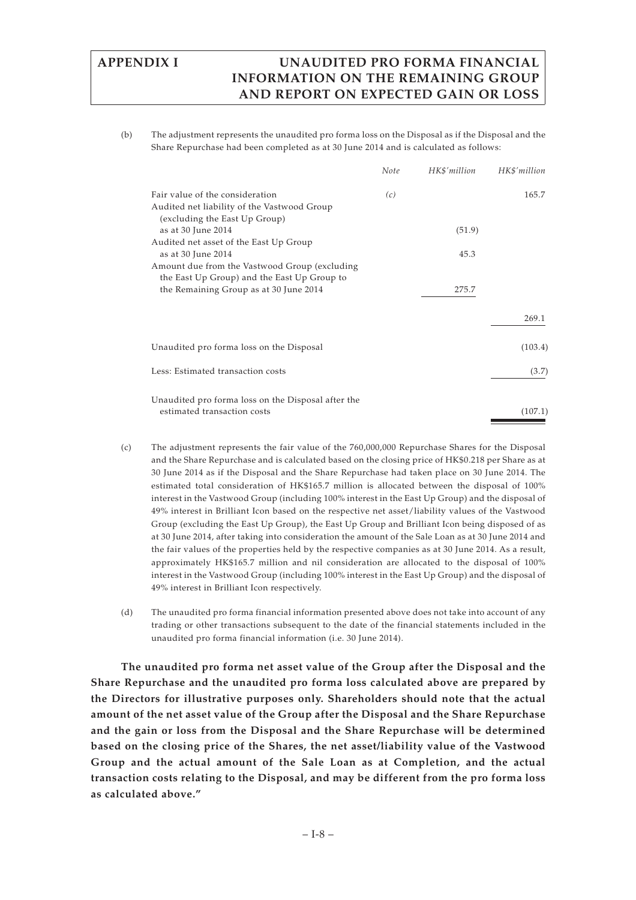(b) The adjustment represents the unaudited pro forma loss on the Disposal as if the Disposal and the Share Repurchase had been completed as at 30 June 2014 and is calculated as follows:

|                                                                                                                 | Note | HK\$'million | HK\$'million |
|-----------------------------------------------------------------------------------------------------------------|------|--------------|--------------|
| Fair value of the consideration<br>Audited net liability of the Vastwood Group<br>(excluding the East Up Group) | (c)  |              | 165.7        |
| as at 30 June 2014                                                                                              |      | (51.9)       |              |
| Audited net asset of the East Up Group<br>as at 30 June 2014                                                    |      | 45.3         |              |
| Amount due from the Vastwood Group (excluding<br>the East Up Group) and the East Up Group to                    |      |              |              |
| the Remaining Group as at 30 June 2014                                                                          |      | 275.7        |              |
|                                                                                                                 |      |              | 269.1        |
| Unaudited pro forma loss on the Disposal                                                                        |      |              | (103.4)      |
| Less: Estimated transaction costs                                                                               |      |              | (3.7)        |
| Unaudited pro forma loss on the Disposal after the                                                              |      |              |              |
| estimated transaction costs                                                                                     |      |              | (107.1)      |

- (c) The adjustment represents the fair value of the 760,000,000 Repurchase Shares for the Disposal and the Share Repurchase and is calculated based on the closing price of HK\$0.218 per Share as at 30 June 2014 as if the Disposal and the Share Repurchase had taken place on 30 June 2014. The estimated total consideration of HK\$165.7 million is allocated between the disposal of 100% interest in the Vastwood Group (including 100% interest in the East Up Group) and the disposal of 49% interest in Brilliant Icon based on the respective net asset/liability values of the Vastwood Group (excluding the East Up Group), the East Up Group and Brilliant Icon being disposed of as at 30 June 2014, after taking into consideration the amount of the Sale Loan as at 30 June 2014 and the fair values of the properties held by the respective companies as at 30 June 2014. As a result, approximately HK\$165.7 million and nil consideration are allocated to the disposal of 100% interest in the Vastwood Group (including 100% interest in the East Up Group) and the disposal of 49% interest in Brilliant Icon respectively.
- (d) The unaudited pro forma financial information presented above does not take into account of any trading or other transactions subsequent to the date of the financial statements included in the unaudited pro forma financial information (i.e. 30 June 2014).

**The unaudited pro forma net asset value of the Group after the Disposal and the Share Repurchase and the unaudited pro forma loss calculated above are prepared by the Directors for illustrative purposes only. Shareholders should note that the actual amount of the net asset value of the Group after the Disposal and the Share Repurchase and the gain or loss from the Disposal and the Share Repurchase will be determined based on the closing price of the Shares, the net asset/liability value of the Vastwood Group and the actual amount of the Sale Loan as at Completion, and the actual transaction costs relating to the Disposal, and may be different from the pro forma loss as calculated above."**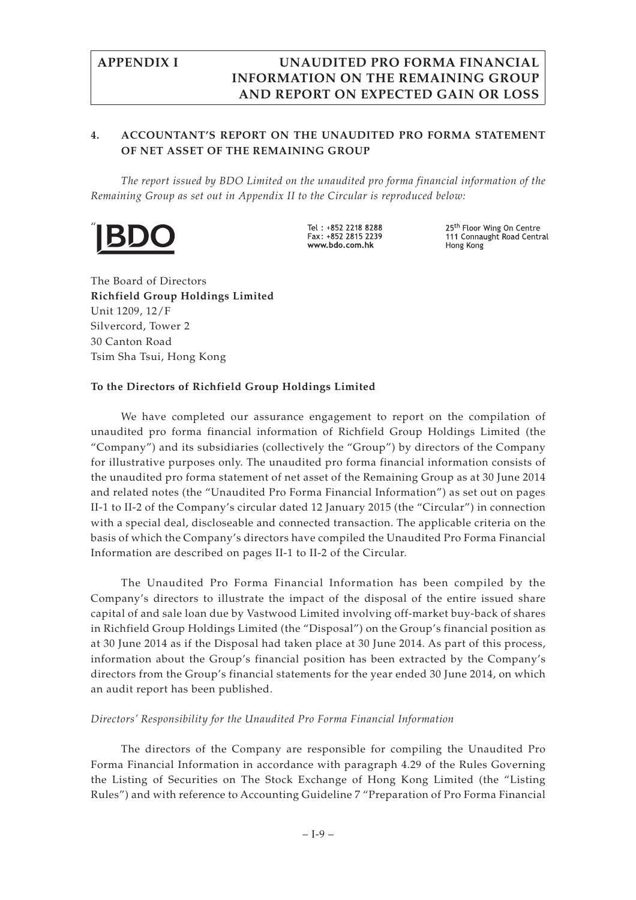## **4. ACCOUNTANT'S REPORT ON THE UNAUDITED PRO FORMA STATEMENT OF NET ASSET OF THE REMAINING GROUP**

*The report issued by BDO Limited on the unaudited pro forma financial information of the Remaining Group as set out in Appendix II to the Circular is reproduced below:*



Tel: +852 2218 8288  $Fay + 852$  2815 2239 www.bdo.com.hk

25<sup>th</sup> Floor Wing On Centre 111 Connaught Road Central Hong Kong

The Board of Directors **Richfield Group Holdings Limited** Unit 1209, 12/F Silvercord, Tower 2 30 Canton Road Tsim Sha Tsui, Hong Kong

## **To the Directors of Richfield Group Holdings Limited**

We have completed our assurance engagement to report on the compilation of unaudited pro forma financial information of Richfield Group Holdings Limited (the "Company") and its subsidiaries (collectively the "Group") by directors of the Company for illustrative purposes only. The unaudited pro forma financial information consists of the unaudited pro forma statement of net asset of the Remaining Group as at 30 June 2014 and related notes (the "Unaudited Pro Forma Financial Information") as set out on pages II-1 to II-2 of the Company's circular dated 12 January 2015 (the "Circular") in connection with a special deal, discloseable and connected transaction. The applicable criteria on the basis of which the Company's directors have compiled the Unaudited Pro Forma Financial Information are described on pages II-1 to II-2 of the Circular.

The Unaudited Pro Forma Financial Information has been compiled by the Company's directors to illustrate the impact of the disposal of the entire issued share capital of and sale loan due by Vastwood Limited involving off-market buy-back of shares in Richfield Group Holdings Limited (the "Disposal") on the Group's financial position as at 30 June 2014 as if the Disposal had taken place at 30 June 2014. As part of this process, information about the Group's financial position has been extracted by the Company's directors from the Group's financial statements for the year ended 30 June 2014, on which an audit report has been published.

## *Directors' Responsibility for the Unaudited Pro Forma Financial Information*

The directors of the Company are responsible for compiling the Unaudited Pro Forma Financial Information in accordance with paragraph 4.29 of the Rules Governing the Listing of Securities on The Stock Exchange of Hong Kong Limited (the "Listing Rules") and with reference to Accounting Guideline 7 "Preparation of Pro Forma Financial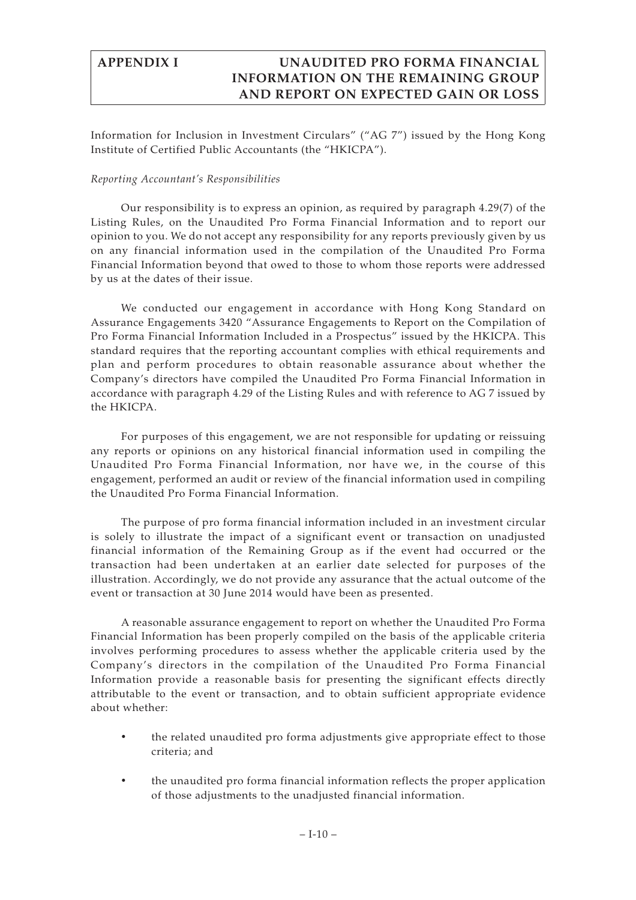Information for Inclusion in Investment Circulars" ("AG 7") issued by the Hong Kong Institute of Certified Public Accountants (the "HKICPA").

### *Reporting Accountant's Responsibilities*

Our responsibility is to express an opinion, as required by paragraph 4.29(7) of the Listing Rules, on the Unaudited Pro Forma Financial Information and to report our opinion to you. We do not accept any responsibility for any reports previously given by us on any financial information used in the compilation of the Unaudited Pro Forma Financial Information beyond that owed to those to whom those reports were addressed by us at the dates of their issue.

We conducted our engagement in accordance with Hong Kong Standard on Assurance Engagements 3420 "Assurance Engagements to Report on the Compilation of Pro Forma Financial Information Included in a Prospectus" issued by the HKICPA. This standard requires that the reporting accountant complies with ethical requirements and plan and perform procedures to obtain reasonable assurance about whether the Company's directors have compiled the Unaudited Pro Forma Financial Information in accordance with paragraph 4.29 of the Listing Rules and with reference to AG 7 issued by the HKICPA.

For purposes of this engagement, we are not responsible for updating or reissuing any reports or opinions on any historical financial information used in compiling the Unaudited Pro Forma Financial Information, nor have we, in the course of this engagement, performed an audit or review of the financial information used in compiling the Unaudited Pro Forma Financial Information.

The purpose of pro forma financial information included in an investment circular is solely to illustrate the impact of a significant event or transaction on unadjusted financial information of the Remaining Group as if the event had occurred or the transaction had been undertaken at an earlier date selected for purposes of the illustration. Accordingly, we do not provide any assurance that the actual outcome of the event or transaction at 30 June 2014 would have been as presented.

A reasonable assurance engagement to report on whether the Unaudited Pro Forma Financial Information has been properly compiled on the basis of the applicable criteria involves performing procedures to assess whether the applicable criteria used by the Company's directors in the compilation of the Unaudited Pro Forma Financial Information provide a reasonable basis for presenting the significant effects directly attributable to the event or transaction, and to obtain sufficient appropriate evidence about whether:

- the related unaudited pro forma adjustments give appropriate effect to those criteria; and
- the unaudited pro forma financial information reflects the proper application of those adjustments to the unadjusted financial information.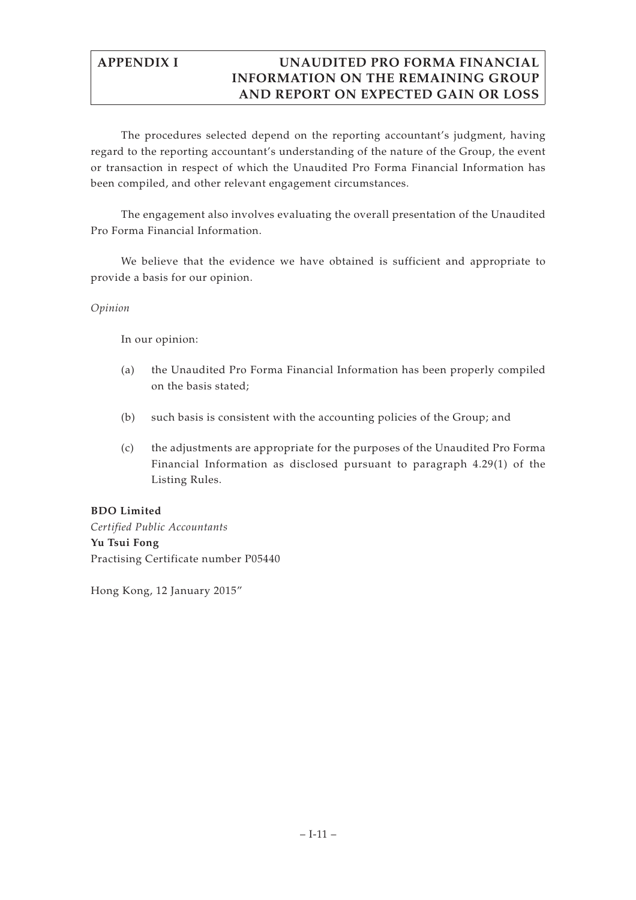The procedures selected depend on the reporting accountant's judgment, having regard to the reporting accountant's understanding of the nature of the Group, the event or transaction in respect of which the Unaudited Pro Forma Financial Information has been compiled, and other relevant engagement circumstances.

The engagement also involves evaluating the overall presentation of the Unaudited Pro Forma Financial Information.

We believe that the evidence we have obtained is sufficient and appropriate to provide a basis for our opinion.

## *Opinion*

In our opinion:

- (a) the Unaudited Pro Forma Financial Information has been properly compiled on the basis stated;
- (b) such basis is consistent with the accounting policies of the Group; and
- (c) the adjustments are appropriate for the purposes of the Unaudited Pro Forma Financial Information as disclosed pursuant to paragraph 4.29(1) of the Listing Rules.

## **BDO Limited**

*Certified Public Accountants* **Yu Tsui Fong** Practising Certificate number P05440

Hong Kong, 12 January 2015"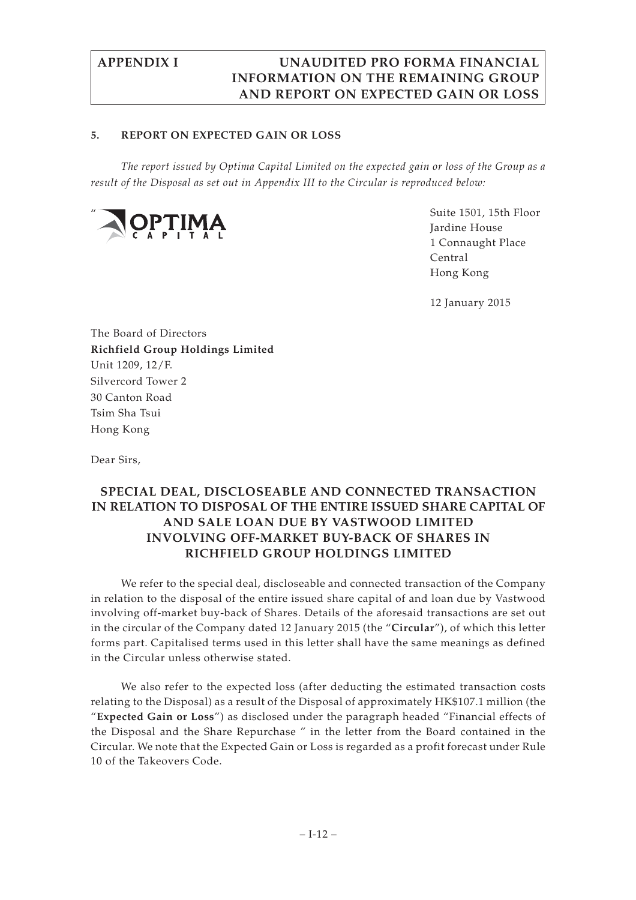### **5. REPORT ON EXPECTED GAIN OR LOSS**

*The report issued by Optima Capital Limited on the expected gain or loss of the Group as a result of the Disposal as set out in Appendix III to the Circular is reproduced below:*



Suite 1501, 15th Floor Jardine House 1 Connaught Place Central Hong Kong

12 January 2015

The Board of Directors **Richfield Group Holdings Limited** Unit 1209, 12/F. Silvercord Tower 2 30 Canton Road Tsim Sha Tsui Hong Kong

Dear Sirs,

# **SPECIAL DEAL, DISCLOSEABLE AND CONNECTED TRANSACTION IN RELATION TO DISPOSAL OF THE ENTIRE ISSUED SHARE CAPITAL OF AND SALE LOAN DUE BY VASTWOOD LIMITED INVOLVING OFF-MARKET BUY-BACK OF SHARES IN RICHFIELD GROUP HOLDINGS LIMITED**

We refer to the special deal, discloseable and connected transaction of the Company in relation to the disposal of the entire issued share capital of and loan due by Vastwood involving off-market buy-back of Shares. Details of the aforesaid transactions are set out in the circular of the Company dated 12 January 2015 (the "**Circular**"), of which this letter forms part. Capitalised terms used in this letter shall have the same meanings as defined in the Circular unless otherwise stated.

We also refer to the expected loss (after deducting the estimated transaction costs relating to the Disposal) as a result of the Disposal of approximately HK\$107.1 million (the "**Expected Gain or Loss**") as disclosed under the paragraph headed "Financial effects of the Disposal and the Share Repurchase " in the letter from the Board contained in the Circular. We note that the Expected Gain or Loss is regarded as a profit forecast under Rule 10 of the Takeovers Code.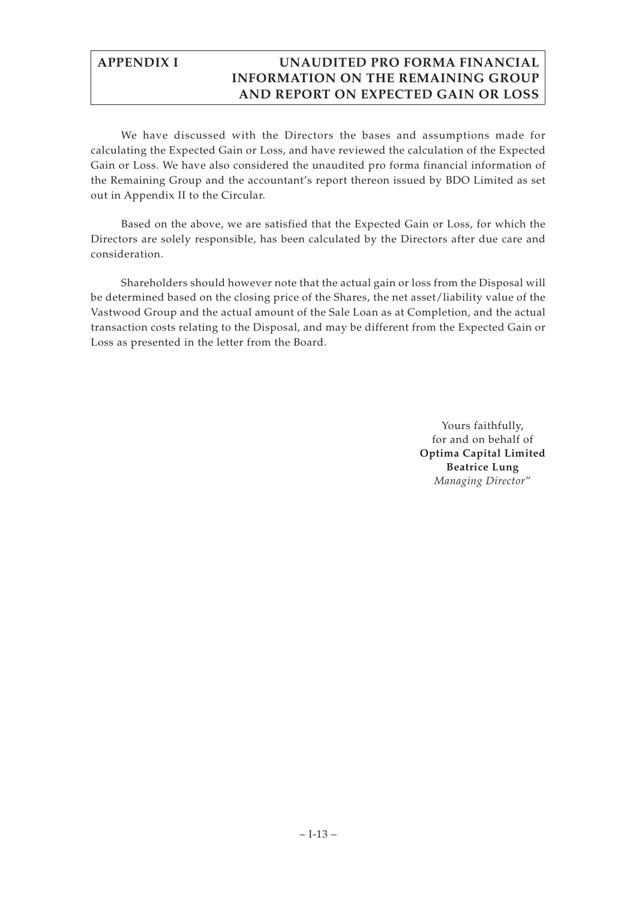We have discussed with the Directors the bases and assumptions made for calculating the Expected Gain or Loss, and have reviewed the calculation of the Expected Gain or Loss. We have also considered the unaudited pro forma financial information of the Remaining Group and the accountant's report thereon issued by BDO Limited as set out in Appendix II to the Circular.

Based on the above, we are satisfied that the Expected Gain or Loss, for which the Directors are solely responsible, has been calculated by the Directors after due care and consideration.

Shareholders should however note that the actual gain or loss from the Disposal will be determined based on the closing price of the Shares, the net asset/liability value of the Vastwood Group and the actual amount of the Sale Loan as at Completion, and the actual transaction costs relating to the Disposal, and may be different from the Expected Gain or Loss as presented in the letter from the Board.

> Yours faithfully, for and on behalf of **Optima Capital Limited Beatrice Lung** *Managing Director*"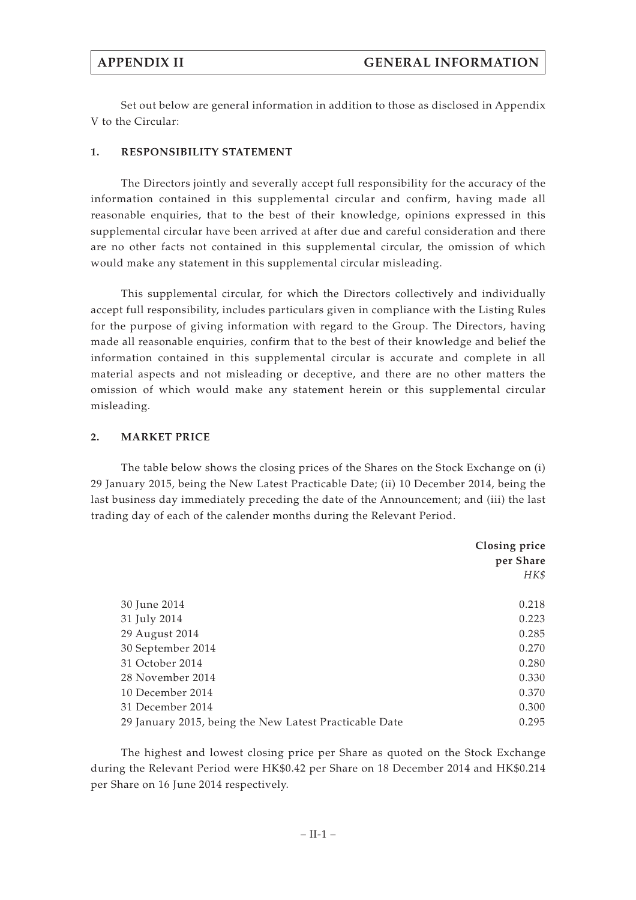Set out below are general information in addition to those as disclosed in Appendix V to the Circular:

### **1. RESPONSIBILITY STATEMENT**

The Directors jointly and severally accept full responsibility for the accuracy of the information contained in this supplemental circular and confirm, having made all reasonable enquiries, that to the best of their knowledge, opinions expressed in this supplemental circular have been arrived at after due and careful consideration and there are no other facts not contained in this supplemental circular, the omission of which would make any statement in this supplemental circular misleading.

This supplemental circular, for which the Directors collectively and individually accept full responsibility, includes particulars given in compliance with the Listing Rules for the purpose of giving information with regard to the Group. The Directors, having made all reasonable enquiries, confirm that to the best of their knowledge and belief the information contained in this supplemental circular is accurate and complete in all material aspects and not misleading or deceptive, and there are no other matters the omission of which would make any statement herein or this supplemental circular misleading.

#### **2. MARKET PRICE**

The table below shows the closing prices of the Shares on the Stock Exchange on (i) 29 January 2015, being the New Latest Practicable Date; (ii) 10 December 2014, being the last business day immediately preceding the date of the Announcement; and (iii) the last trading day of each of the calender months during the Relevant Period.

|                                                        | Closing price<br>per Share |
|--------------------------------------------------------|----------------------------|
|                                                        | HK\$                       |
| 30 June 2014                                           | 0.218                      |
| 31 July 2014                                           | 0.223                      |
| 29 August 2014                                         | 0.285                      |
| 30 September 2014                                      | 0.270                      |
| 31 October 2014                                        | 0.280                      |
| 28 November 2014                                       | 0.330                      |
| 10 December 2014                                       | 0.370                      |
| 31 December 2014                                       | 0.300                      |
| 29 January 2015, being the New Latest Practicable Date | 0.295                      |

The highest and lowest closing price per Share as quoted on the Stock Exchange during the Relevant Period were HK\$0.42 per Share on 18 December 2014 and HK\$0.214 per Share on 16 June 2014 respectively.